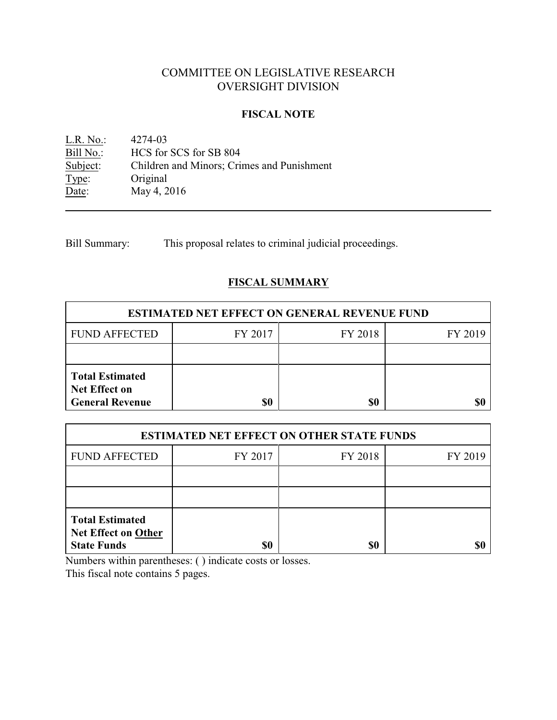# COMMITTEE ON LEGISLATIVE RESEARCH OVERSIGHT DIVISION

#### **FISCAL NOTE**

L.R. No.: 4274-03<br>Bill No.: HCS for Bill No.: HCS for SCS for SB 804<br>Subject: Children and Minors; Crit Children and Minors; Crimes and Punishment Type: Original<br>Date: May 4, 2 May 4, 2016

Bill Summary: This proposal relates to criminal judicial proceedings.

## **FISCAL SUMMARY**

| <b>ESTIMATED NET EFFECT ON GENERAL REVENUE FUND</b>                      |         |         |         |  |
|--------------------------------------------------------------------------|---------|---------|---------|--|
| <b>FUND AFFECTED</b>                                                     | FY 2017 | FY 2018 | FY 2019 |  |
|                                                                          |         |         |         |  |
| <b>Total Estimated</b><br><b>Net Effect on</b><br><b>General Revenue</b> |         | \$0     |         |  |

| <b>ESTIMATED NET EFFECT ON OTHER STATE FUNDS</b>                           |         |         |         |  |
|----------------------------------------------------------------------------|---------|---------|---------|--|
| <b>FUND AFFECTED</b>                                                       | FY 2017 | FY 2018 | FY 2019 |  |
|                                                                            |         |         |         |  |
|                                                                            |         |         |         |  |
| <b>Total Estimated</b><br><b>Net Effect on Other</b><br><b>State Funds</b> | \$0     | \$0     |         |  |

Numbers within parentheses: ( ) indicate costs or losses.

This fiscal note contains 5 pages.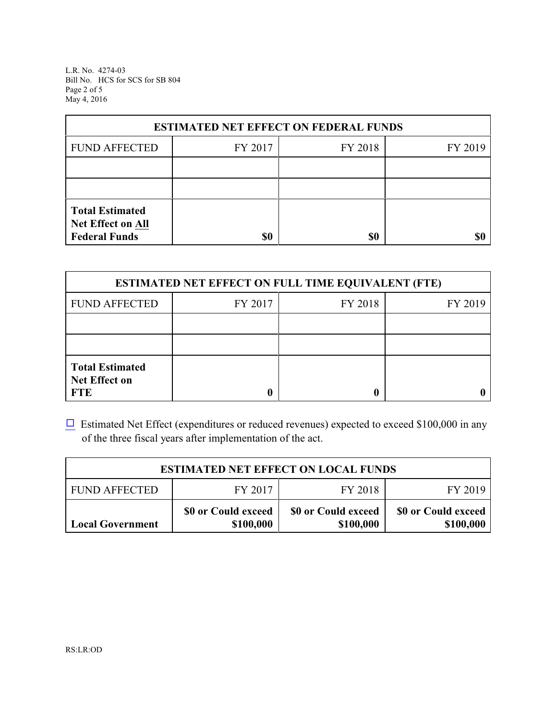L.R. No. 4274-03 Bill No. HCS for SCS for SB 804 Page 2 of 5 May 4, 2016

| <b>ESTIMATED NET EFFECT ON FEDERAL FUNDS</b>                        |         |         |         |  |
|---------------------------------------------------------------------|---------|---------|---------|--|
| <b>FUND AFFECTED</b>                                                | FY 2017 | FY 2018 | FY 2019 |  |
|                                                                     |         |         |         |  |
|                                                                     |         |         |         |  |
| <b>Total Estimated</b><br>Net Effect on All<br><b>Federal Funds</b> | \$0     | \$0     |         |  |

| <b>ESTIMATED NET EFFECT ON FULL TIME EQUIVALENT (FTE)</b>    |         |         |         |  |
|--------------------------------------------------------------|---------|---------|---------|--|
| <b>FUND AFFECTED</b>                                         | FY 2017 | FY 2018 | FY 2019 |  |
|                                                              |         |         |         |  |
|                                                              |         |         |         |  |
| <b>Total Estimated</b><br><b>Net Effect on</b><br><b>FTE</b> |         |         |         |  |

 $\Box$  Estimated Net Effect (expenditures or reduced revenues) expected to exceed \$100,000 in any of the three fiscal years after implementation of the act.

| <b>ESTIMATED NET EFFECT ON LOCAL FUNDS</b> |                                  |                                  |                                  |  |
|--------------------------------------------|----------------------------------|----------------------------------|----------------------------------|--|
| <b>FUND AFFECTED</b>                       | FY 2017                          | FY 2018                          | FY 2019                          |  |
| <b>Local Government</b>                    | \$0 or Could exceed<br>\$100,000 | \$0 or Could exceed<br>\$100,000 | \$0 or Could exceed<br>\$100,000 |  |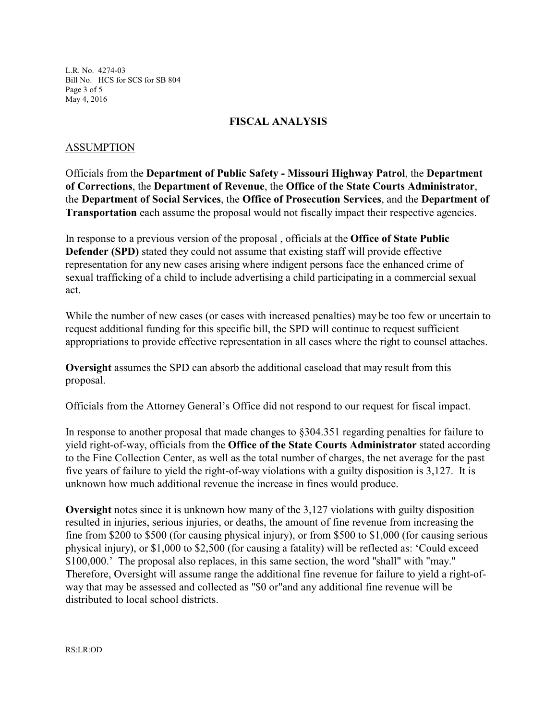L.R. No. 4274-03 Bill No. HCS for SCS for SB 804 Page 3 of 5 May 4, 2016

#### **FISCAL ANALYSIS**

#### ASSUMPTION

Officials from the **Department of Public Safety - Missouri Highway Patrol**, the **Department of Corrections**, the **Department of Revenue**, the **Office of the State Courts Administrator**, the **Department of Social Services**, the **Office of Prosecution Services**, and the **Department of Transportation** each assume the proposal would not fiscally impact their respective agencies.

In response to a previous version of the proposal , officials at the **Office of State Public Defender (SPD)** stated they could not assume that existing staff will provide effective representation for any new cases arising where indigent persons face the enhanced crime of sexual trafficking of a child to include advertising a child participating in a commercial sexual act.

While the number of new cases (or cases with increased penalties) may be too few or uncertain to request additional funding for this specific bill, the SPD will continue to request sufficient appropriations to provide effective representation in all cases where the right to counsel attaches.

**Oversight** assumes the SPD can absorb the additional caseload that may result from this proposal.

Officials from the Attorney General's Office did not respond to our request for fiscal impact.

In response to another proposal that made changes to §304.351 regarding penalties for failure to yield right-of-way, officials from the **Office of the State Courts Administrator** stated according to the Fine Collection Center, as well as the total number of charges, the net average for the past five years of failure to yield the right-of-way violations with a guilty disposition is 3,127. It is unknown how much additional revenue the increase in fines would produce.

**Oversight** notes since it is unknown how many of the 3,127 violations with guilty disposition resulted in injuries, serious injuries, or deaths, the amount of fine revenue from increasing the fine from \$200 to \$500 (for causing physical injury), or from \$500 to \$1,000 (for causing serious physical injury), or \$1,000 to \$2,500 (for causing a fatality) will be reflected as: 'Could exceed \$100,000.' The proposal also replaces, in this same section, the word "shall" with "may." Therefore, Oversight will assume range the additional fine revenue for failure to yield a right-ofway that may be assessed and collected as "\$0 or"and any additional fine revenue will be distributed to local school districts.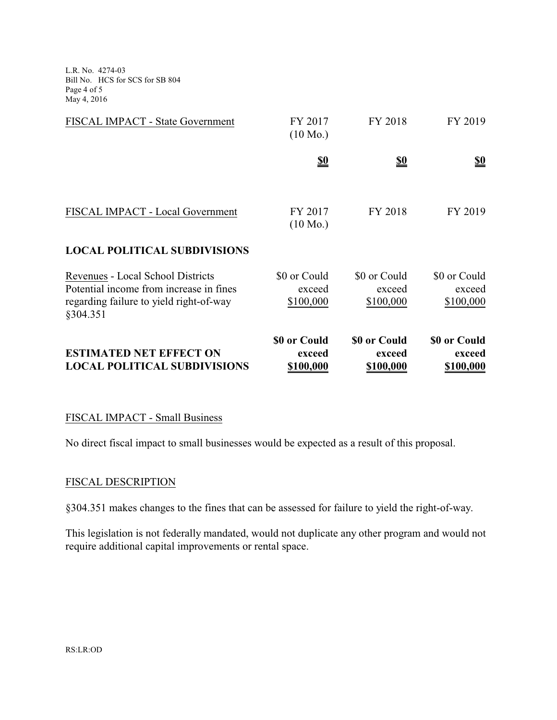L.R. No. 4274-03 Bill No. HCS for SCS for SB 804 Page 4 of 5 May 4, 2016

| FISCAL IMPACT - Local Government                                                               | FY 2017<br>$(10 \text{ Mo.})$       | FY 2018                             | FY 2019                             |
|------------------------------------------------------------------------------------------------|-------------------------------------|-------------------------------------|-------------------------------------|
| <b>LOCAL POLITICAL SUBDIVISIONS</b><br>Revenues - Local School Districts                       | \$0 or Could                        | \$0 or Could                        | \$0 or Could                        |
| Potential income from increase in fines<br>regarding failure to yield right-of-way<br>§304.351 | exceed<br>\$100,000                 | exceed<br>\$100,000                 | exceed<br>\$100,000                 |
| <b>ESTIMATED NET EFFECT ON</b><br><b>LOCAL POLITICAL SUBDIVISIONS</b>                          | \$0 or Could<br>exceed<br>\$100,000 | \$0 or Could<br>exceed<br>\$100,000 | \$0 or Could<br>exceed<br>\$100,000 |

### FISCAL IMPACT - Small Business

No direct fiscal impact to small businesses would be expected as a result of this proposal.

#### FISCAL DESCRIPTION

§304.351 makes changes to the fines that can be assessed for failure to yield the right-of-way.

This legislation is not federally mandated, would not duplicate any other program and would not require additional capital improvements or rental space.